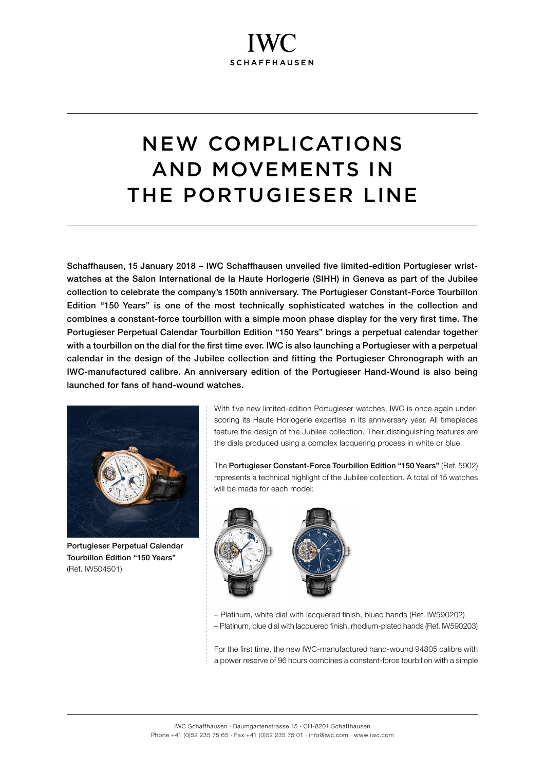# NEW COMPLICATIONS AND MOVEMENTS IN THE PORTUGIESER LINE

Schaffhausen, 15 January 2018 – IWC Schaffhausen unveiled five limited-edition Portugieser wristwatches at the Salon International de la Haute Horlogerie (SIHH) in Geneva as part of the Jubilee collection to celebrate the company's 150th anniversary. The Portugieser Constant-Force Tourbillon Edition "150 Years" is one of the most technically sophisticated watches in the collection and combines a constant-force tourbillon with a simple moon phase display for the very first time. The Portugieser Perpetual Calendar Tourbillon Edition "150 Years" brings a perpetual calendar together with a tourbillon on the dial for the first time ever. IWC is also launching a Portugieser with a perpetual calendar in the design of the Jubilee collection and fitting the Portugieser Chronograph with an IWC-manufactured calibre. An anniversary edition of the Portugieser Hand-Wound is also being launched for fans of hand-wound watches.



Portugieser Perpetual Calendar Tourbillon Edition "150 Years" (Ref. IW504501)

With five new limited-edition Portugieser watches. IWC is once again underscoring its Haute Horlogerie expertise in its anniversary year. All timepieces feature the design of the Jubilee collection. Their distinguishing features are the dials produced using a complex lacquering process in white or blue.

The Portugieser Constant-Force Tourbillon Edition "150 Years" (Ref. 5902) represents a technical highlight of the Jubilee collection. A total of 15 watches will be made for each model:



– Platinum, white dial with lacquered finish, blued hands (Ref. IW590202) – Platinum, blue dial with lacquered finish, rhodium-plated hands (Ref. IW590203)

For the first time, the new IWC-manufactured hand-wound 94805 calibre with a power reserve of 96 hours combines a constant-force tourbillon with a simple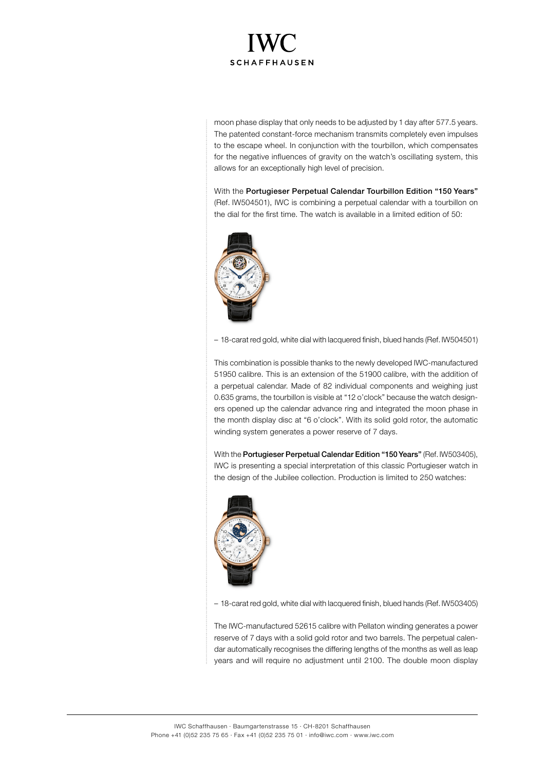

moon phase display that only needs to be adjusted by 1 day after 577.5 years. The patented constant-force mechanism transmits completely even impulses to the escape wheel. In conjunction with the tourbillon, which compensates for the negative influences of gravity on the watch's oscillating system, this allows for an exceptionally high level of precision.

With the Portugieser Perpetual Calendar Tourbillon Edition "150 Years" (Ref. IW504501), IWC is combining a perpetual calendar with a tourbillon on the dial for the first time. The watch is available in a limited edition of 50:



– 18-carat red gold, white dial with lacquered finish, blued hands (Ref. IW504501)

This combination is possible thanks to the newly developed IWC-manufactured 51950 calibre. This is an extension of the 51900 calibre, with the addition of a perpetual calendar. Made of 82 individual components and weighing just 0.635 grams, the tourbillon is visible at "12 o'clock" because the watch designers opened up the calendar advance ring and integrated the moon phase in the month display disc at "6 o'clock". With its solid gold rotor, the automatic winding system generates a power reserve of 7 days.

With the Portugieser Perpetual Calendar Edition "150 Years" (Ref. IW503405), IWC is presenting a special interpretation of this classic Portugieser watch in the design of the Jubilee collection. Production is limited to 250 watches:



– 18-carat red gold, white dial with lacquered finish, blued hands (Ref. IW503405)

The IWC-manufactured 52615 calibre with Pellaton winding generates a power reserve of 7 days with a solid gold rotor and two barrels. The perpetual calendar automatically recognises the differing lengths of the months as well as leap years and will require no adjustment until 2100. The double moon display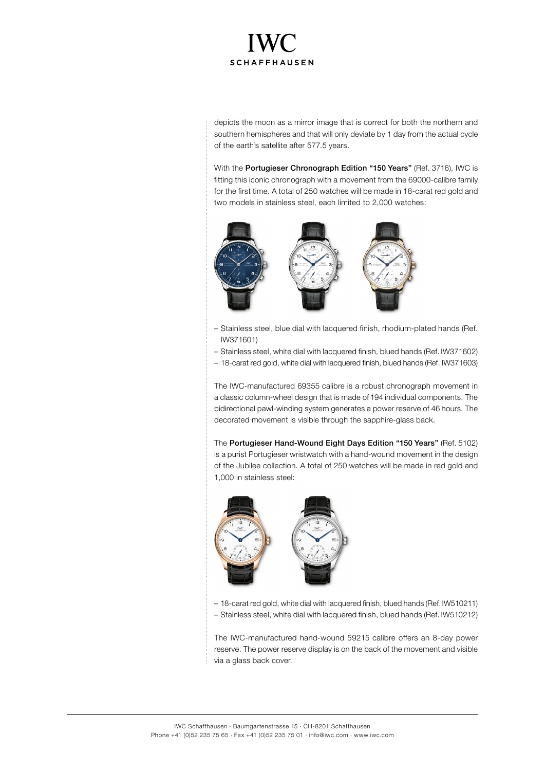

depicts the moon as a mirror image that is correct for both the northern and southern hemispheres and that will only deviate by 1 day from the actual cycle of the earth's satellite after 577.5 years.

With the Portugieser Chronograph Edition "150 Years" (Ref. 3716), IWC is fitting this iconic chronograph with a movement from the 69000-calibre family for the first time. A total of 250 watches will be made in 18-carat red gold and two models in stainless steel, each limited to 2,000 watches:



- Stainless steel, blue dial with lacquered finish, rhodium-plated hands (Ref. IW371601)
- Stainless steel, white dial with lacquered finish, blued hands (Ref. IW371602)
- 18-carat red gold, white dial with lacquered finish, blued hands (Ref. IW371603)

The IWC-manufactured 69355 calibre is a robust chronograph movement in a classic column-wheel design that is made of 194 individual components. The bidirectional pawl-winding system generates a power reserve of 46 hours. The decorated movement is visible through the sapphire-glass back.

The Portugieser Hand-Wound Eight Days Edition "150 Years" (Ref. 5102) is a purist Portugieser wristwatch with a hand-wound movement in the design of the Jubilee collection. A total of 250 watches will be made in red gold and 1,000 in stainless steel:



– 18-carat red gold, white dial with lacquered finish, blued hands (Ref. IW510211) – Stainless steel, white dial with lacquered finish, blued hands (Ref. IW510212)

The IWC-manufactured hand-wound 59215 calibre offers an 8-day power reserve. The power reserve display is on the back of the movement and visible via a glass back cover.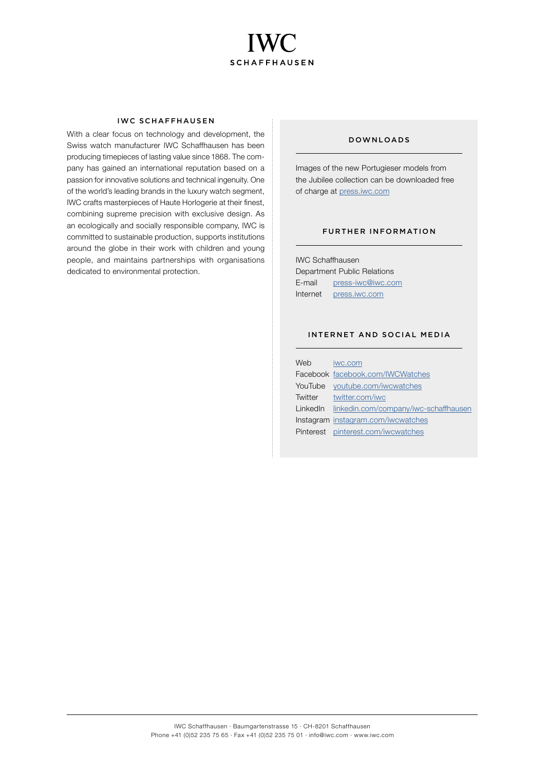

### IWC SCHAFFHAUSEN

With a clear focus on technology and development, the Swiss watch manufacturer IWC Schaffhausen has been producing timepieces of lasting value since 1868. The company has gained an international reputation based on a passion for innovative solutions and technical ingenuity. One of the world's leading brands in the luxury watch segment, IWC crafts masterpieces of Haute Horlogerie at their finest, combining supreme precision with exclusive design. As an ecologically and socially responsible company, IWC is committed to sustainable production, supports institutions around the globe in their work with children and young people, and maintains partnerships with organisations dedicated to environmental protection.

## DOWNLOADS

Images of the new Portugieser models from the Jubilee collection can be downloaded free of charge at [press.iwc.com](http://press.iwc.com)

### FURTHER INFORMATION

IWC Schaffhausen Department Public Relations E-mail [press-iwc@iwc.com](mailto:press-iwc@iwc.com) Internet [press.iwc.com](http://press.iwc.com)

### INTERNET AND SOCIAL MEDIA

| Web | iwc.com                                        |
|-----|------------------------------------------------|
|     | Facebook facebook.com/IWCWatches               |
|     | YouTube youtube.com/iwcwatches                 |
|     | Twitter twitter.com/iwc                        |
|     | LinkedIn linkedin.com/company/iwc-schaffhausen |
|     | Instagram instagram.com/iwcwatches             |
|     | Pinterest pinterest.com/iwcwatches             |
|     |                                                |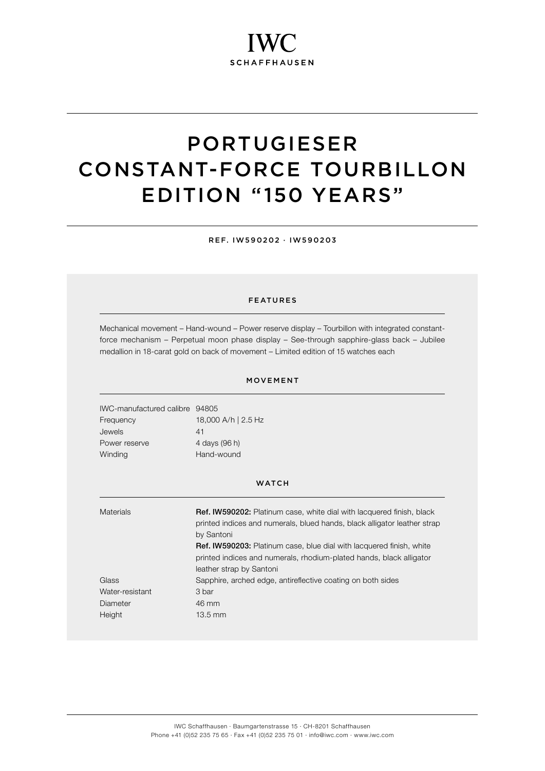# PORTUGIESER CONSTANT-FORCE TOURBILLON EDITION "150 YEARS"

REF. IW590202 · IW590203

### FEATURES

Mechanical movement – Hand-wound – Power reserve display – Tourbillon with integrated constantforce mechanism – Perpetual moon phase display – See-through sapphire-glass back – Jubilee medallion in 18-carat gold on back of movement – Limited edition of 15 watches each

### MOVEMENT

IWC-manufactured calibre 94805 Frequency 18,000 A/h | 2.5 Hz Jewels 41 Power reserve 4 days (96 h) Winding Hand-wound

| <b>Materials</b> | Ref. IW590202: Platinum case, white dial with lacquered finish, black<br>printed indices and numerals, blued hands, black alligator leather strap<br>by Santoni<br><b>Ref. IW590203:</b> Platinum case, blue dial with lacquered finish, white<br>printed indices and numerals, rhodium-plated hands, black alligator<br>leather strap by Santoni |
|------------------|---------------------------------------------------------------------------------------------------------------------------------------------------------------------------------------------------------------------------------------------------------------------------------------------------------------------------------------------------|
| Glass            | Sapphire, arched edge, antireflective coating on both sides                                                                                                                                                                                                                                                                                       |
| Water-resistant  | 3 bar                                                                                                                                                                                                                                                                                                                                             |
| Diameter         | 46 mm                                                                                                                                                                                                                                                                                                                                             |
| Height           | 13.5 mm                                                                                                                                                                                                                                                                                                                                           |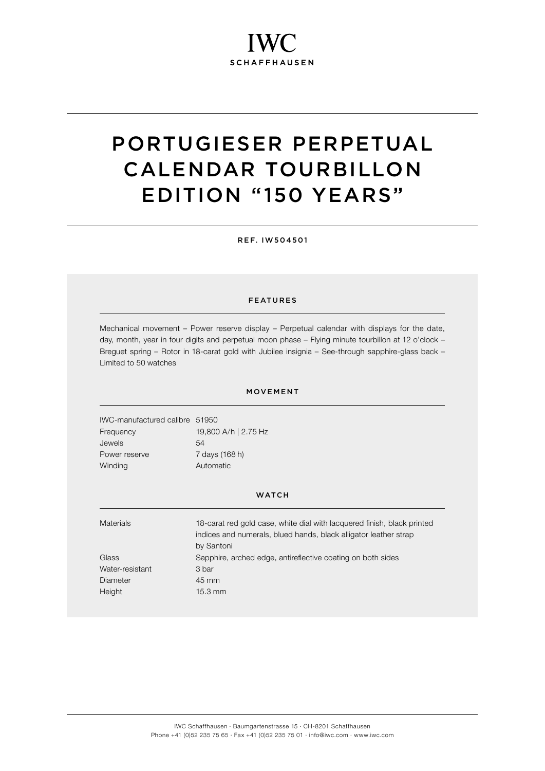# PORTUGIESER PERPETUAL CALENDAR TOURBILLON EDITION "150 YEARS"

REF. IW504501

### FEATURES

Mechanical movement – Power reserve display – Perpetual calendar with displays for the date, day, month, year in four digits and perpetual moon phase – Flying minute tourbillon at 12 o'clock – Breguet spring – Rotor in 18-carat gold with Jubilee insignia – See-through sapphire-glass back – Limited to 50 watches

### MOVEMENT

IWC-manufactured calibre 51950 Frequency 19,800 A/h | 2.75 Hz Jewels 54 Power reserve 7 days (168 h) Winding **Automatic** 

| <b>Materials</b> | 18-carat red gold case, white dial with lacquered finish, black printed |
|------------------|-------------------------------------------------------------------------|
|                  | indices and numerals, blued hands, black alligator leather strap        |
|                  | by Santoni                                                              |
| Glass            | Sapphire, arched edge, antireflective coating on both sides             |
| Water-resistant  | 3 bar                                                                   |
| Diameter         | 45 mm                                                                   |
| Height           | $15.3 \text{ mm}$                                                       |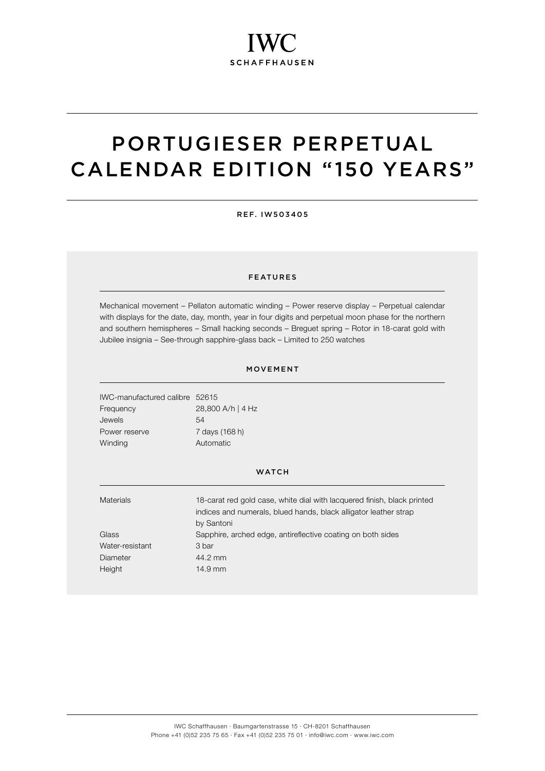## PORTUGIESER PERPETUAL CALENDAR EDITION "150 YEARS"

REF. IW503405

### FEATURES

Mechanical movement – Pellaton automatic winding – Power reserve display – Perpetual calendar with displays for the date, day, month, year in four digits and perpetual moon phase for the northern and southern hemispheres – Small hacking seconds – Breguet spring – Rotor in 18-carat gold with Jubilee insignia – See-through sapphire-glass back – Limited to 250 watches

### MOVEMENT

| IWC-manufactured calibre 52615 |                   |
|--------------------------------|-------------------|
| Frequency                      | 28,800 A/h   4 Hz |
| Jewels                         | 54                |
| Power reserve                  | 7 days (168 h)    |
| Winding                        | Automatic         |

| <b>Materials</b> | 18-carat red gold case, white dial with lacquered finish, black printed<br>indices and numerals, blued hands, black alligator leather strap<br>by Santoni |
|------------------|-----------------------------------------------------------------------------------------------------------------------------------------------------------|
| Glass            | Sapphire, arched edge, antireflective coating on both sides                                                                                               |
| Water-resistant  | 3 bar                                                                                                                                                     |
| Diameter         | 44.2 mm                                                                                                                                                   |
| Height           | $14.9$ mm                                                                                                                                                 |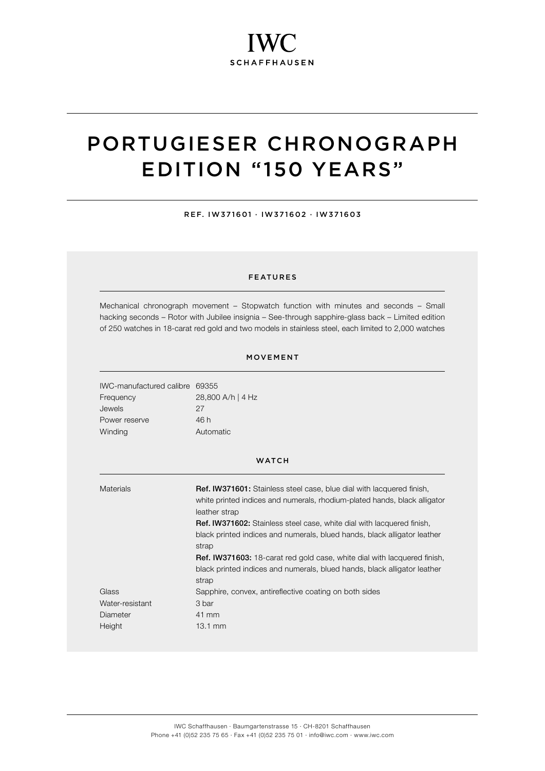## PORTUGIESER CHRONOGRAPH EDITION "150 YEARS"

REF. IW371601 · IW371602 · IW371603

### FEATURES

Mechanical chronograph movement – Stopwatch function with minutes and seconds – Small hacking seconds – Rotor with Jubilee insignia – See-through sapphire-glass back – Limited edition of 250 watches in 18-carat red gold and two models in stainless steel, each limited to 2,000 watches

### MOVEMENT

IWC-manufactured calibre 69355 Frequency 28,800 A/h | 4 Hz Jewels 27 Power reserve 46 h Winding **Automatic** 

#### **WATCH**

Materials **Ref. IW371601:** Stainless steel case, blue dial with lacquered finish, white printed indices and numerals, rhodium-plated hands, black alligator leather strap Ref. IW371602: Stainless steel case, white dial with lacquered finish, black printed indices and numerals, blued hands, black alligator leather strap Ref. IW371603: 18-carat red gold case, white dial with lacquered finish, black printed indices and numerals, blued hands, black alligator leather strap Glass Sapphire, convex, antireflective coating on both sides Water-resistant 3 bar Diameter 41 mm Height 13.1 mm